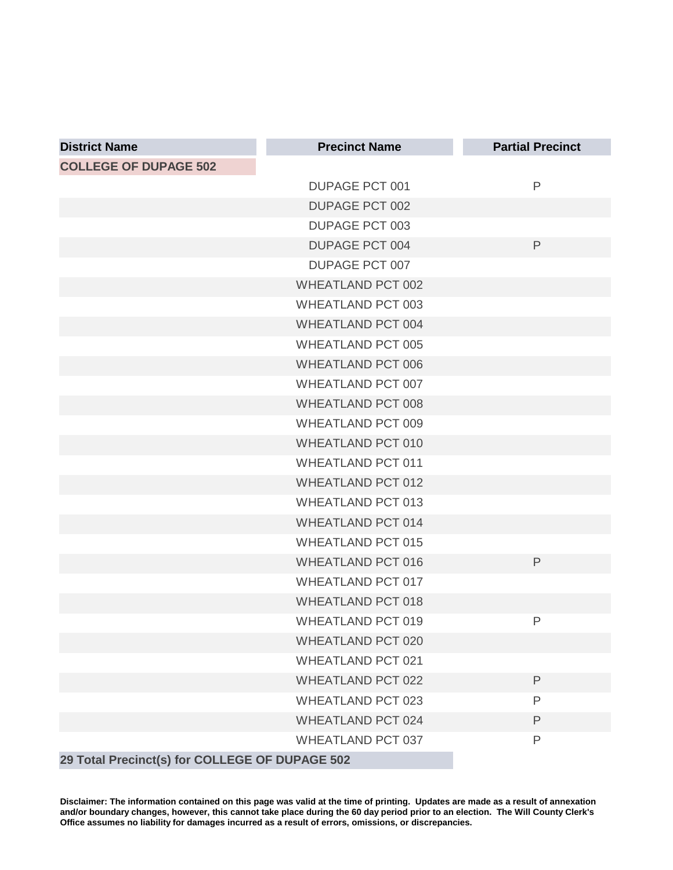| <b>District Name</b>                           | <b>Precinct Name</b>     | <b>Partial Precinct</b> |
|------------------------------------------------|--------------------------|-------------------------|
| <b>COLLEGE OF DUPAGE 502</b>                   |                          |                         |
|                                                | <b>DUPAGE PCT 001</b>    | $\mathsf{P}$            |
|                                                | <b>DUPAGE PCT 002</b>    |                         |
|                                                | <b>DUPAGE PCT 003</b>    |                         |
|                                                | <b>DUPAGE PCT 004</b>    | $\mathsf{P}$            |
|                                                | DUPAGE PCT 007           |                         |
|                                                | <b>WHEATLAND PCT 002</b> |                         |
|                                                | <b>WHEATLAND PCT 003</b> |                         |
|                                                | <b>WHEATLAND PCT 004</b> |                         |
|                                                | <b>WHEATLAND PCT 005</b> |                         |
|                                                | <b>WHEATLAND PCT 006</b> |                         |
|                                                | <b>WHEATLAND PCT 007</b> |                         |
|                                                | <b>WHEATLAND PCT 008</b> |                         |
|                                                | <b>WHEATLAND PCT 009</b> |                         |
|                                                | <b>WHEATLAND PCT 010</b> |                         |
|                                                | <b>WHEATLAND PCT 011</b> |                         |
|                                                | <b>WHEATLAND PCT 012</b> |                         |
|                                                | <b>WHEATLAND PCT 013</b> |                         |
|                                                | <b>WHEATLAND PCT 014</b> |                         |
|                                                | <b>WHEATLAND PCT 015</b> |                         |
|                                                | <b>WHEATLAND PCT 016</b> | $\mathsf{P}$            |
|                                                | <b>WHEATLAND PCT 017</b> |                         |
|                                                | <b>WHEATLAND PCT 018</b> |                         |
|                                                | <b>WHEATLAND PCT 019</b> | P                       |
|                                                | <b>WHEATLAND PCT 020</b> |                         |
|                                                | <b>WHEATLAND PCT 021</b> |                         |
|                                                | <b>WHEATLAND PCT 022</b> | $\mathsf{P}$            |
|                                                | <b>WHEATLAND PCT 023</b> | P                       |
|                                                | <b>WHEATLAND PCT 024</b> | $\mathsf{P}$            |
|                                                | <b>WHEATLAND PCT 037</b> | P                       |
| 29 Total Precinct(s) for COLLEGE OF DUPAGE 502 |                          |                         |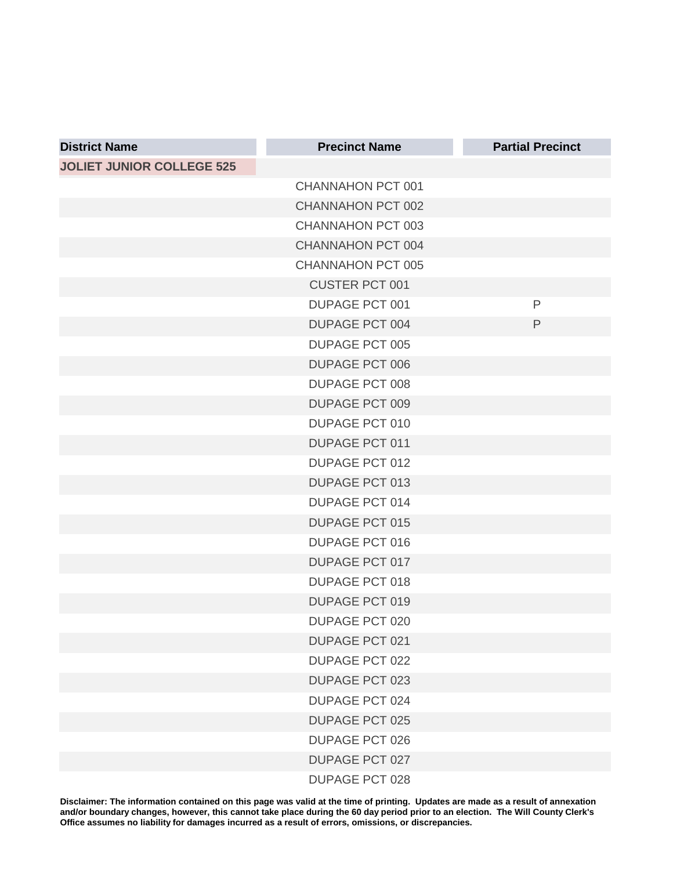| <b>District Name</b>             | <b>Precinct Name</b>     | <b>Partial Precinct</b> |
|----------------------------------|--------------------------|-------------------------|
| <b>JOLIET JUNIOR COLLEGE 525</b> |                          |                         |
|                                  | <b>CHANNAHON PCT 001</b> |                         |
|                                  | <b>CHANNAHON PCT 002</b> |                         |
|                                  | CHANNAHON PCT 003        |                         |
|                                  | CHANNAHON PCT 004        |                         |
|                                  | CHANNAHON PCT 005        |                         |
|                                  | <b>CUSTER PCT 001</b>    |                         |
|                                  | <b>DUPAGE PCT 001</b>    | P                       |
|                                  | <b>DUPAGE PCT 004</b>    | $\mathsf{P}$            |
|                                  | <b>DUPAGE PCT 005</b>    |                         |
|                                  | <b>DUPAGE PCT 006</b>    |                         |
|                                  | <b>DUPAGE PCT 008</b>    |                         |
|                                  | <b>DUPAGE PCT 009</b>    |                         |
|                                  | <b>DUPAGE PCT 010</b>    |                         |
|                                  | <b>DUPAGE PCT 011</b>    |                         |
|                                  | <b>DUPAGE PCT 012</b>    |                         |
|                                  | <b>DUPAGE PCT 013</b>    |                         |
|                                  | <b>DUPAGE PCT 014</b>    |                         |
|                                  | <b>DUPAGE PCT 015</b>    |                         |
|                                  | <b>DUPAGE PCT 016</b>    |                         |
|                                  | <b>DUPAGE PCT 017</b>    |                         |
|                                  | <b>DUPAGE PCT 018</b>    |                         |
|                                  | <b>DUPAGE PCT 019</b>    |                         |
|                                  | DUPAGE PCT 020           |                         |
|                                  | <b>DUPAGE PCT 021</b>    |                         |
|                                  | <b>DUPAGE PCT 022</b>    |                         |
|                                  | <b>DUPAGE PCT 023</b>    |                         |
|                                  | <b>DUPAGE PCT 024</b>    |                         |
|                                  | <b>DUPAGE PCT 025</b>    |                         |
|                                  | <b>DUPAGE PCT 026</b>    |                         |
|                                  | <b>DUPAGE PCT 027</b>    |                         |
|                                  | <b>DUPAGE PCT 028</b>    |                         |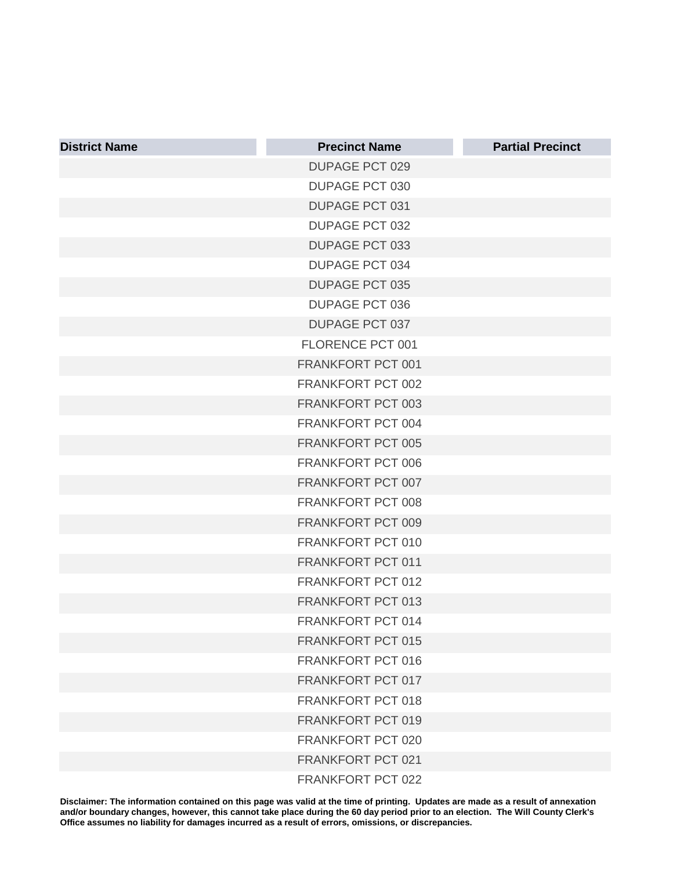| <b>District Name</b> | <b>Precinct Name</b>     | <b>Partial Precinct</b> |
|----------------------|--------------------------|-------------------------|
|                      | <b>DUPAGE PCT 029</b>    |                         |
|                      | <b>DUPAGE PCT 030</b>    |                         |
|                      | <b>DUPAGE PCT 031</b>    |                         |
|                      | <b>DUPAGE PCT 032</b>    |                         |
|                      | <b>DUPAGE PCT 033</b>    |                         |
|                      | <b>DUPAGE PCT 034</b>    |                         |
|                      | <b>DUPAGE PCT 035</b>    |                         |
|                      | <b>DUPAGE PCT 036</b>    |                         |
|                      | <b>DUPAGE PCT 037</b>    |                         |
|                      | FLORENCE PCT 001         |                         |
|                      | FRANKFORT PCT 001        |                         |
|                      | FRANKFORT PCT 002        |                         |
|                      | FRANKFORT PCT 003        |                         |
|                      | FRANKFORT PCT 004        |                         |
|                      | FRANKFORT PCT 005        |                         |
|                      | FRANKFORT PCT 006        |                         |
|                      | FRANKFORT PCT 007        |                         |
|                      | FRANKFORT PCT 008        |                         |
|                      | FRANKFORT PCT 009        |                         |
|                      | FRANKFORT PCT 010        |                         |
|                      | FRANKFORT PCT 011        |                         |
|                      | FRANKFORT PCT 012        |                         |
|                      | FRANKFORT PCT 013        |                         |
|                      | <b>FRANKFORT PCT 014</b> |                         |
|                      | <b>FRANKFORT PCT 015</b> |                         |
|                      | <b>FRANKFORT PCT 016</b> |                         |
|                      | FRANKFORT PCT 017        |                         |
|                      | FRANKFORT PCT 018        |                         |
|                      | FRANKFORT PCT 019        |                         |
|                      | FRANKFORT PCT 020        |                         |
|                      | FRANKFORT PCT 021        |                         |
|                      | FRANKFORT PCT 022        |                         |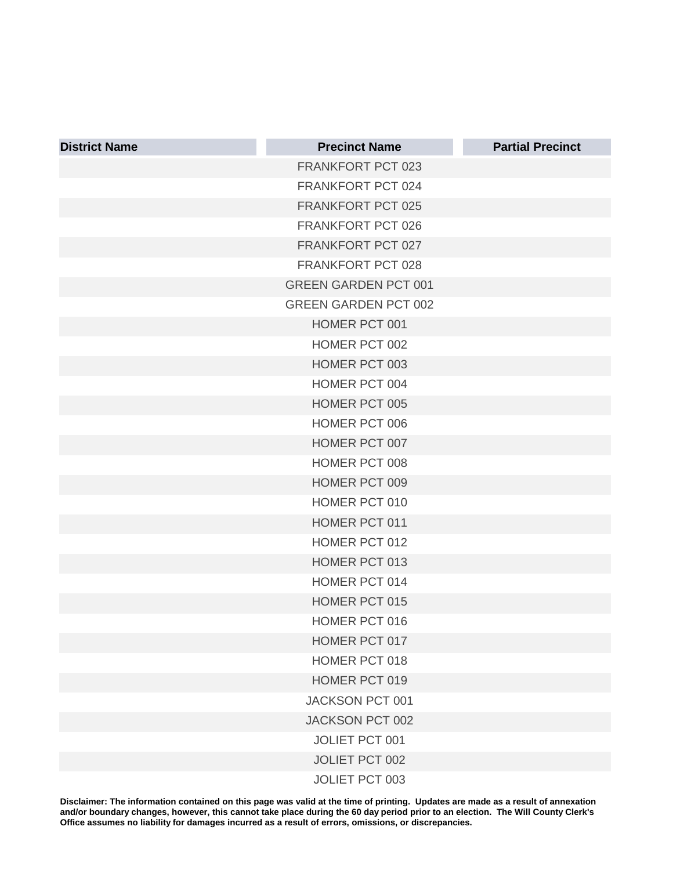| <b>District Name</b> | <b>Precinct Name</b>        | <b>Partial Precinct</b> |
|----------------------|-----------------------------|-------------------------|
|                      | <b>FRANKFORT PCT 023</b>    |                         |
|                      | FRANKFORT PCT 024           |                         |
|                      | FRANKFORT PCT 025           |                         |
|                      | FRANKFORT PCT 026           |                         |
|                      | FRANKFORT PCT 027           |                         |
|                      | FRANKFORT PCT 028           |                         |
|                      | <b>GREEN GARDEN PCT 001</b> |                         |
|                      | <b>GREEN GARDEN PCT 002</b> |                         |
|                      | HOMER PCT 001               |                         |
|                      | HOMER PCT 002               |                         |
|                      | HOMER PCT 003               |                         |
|                      | <b>HOMER PCT 004</b>        |                         |
|                      | <b>HOMER PCT 005</b>        |                         |
|                      | <b>HOMER PCT 006</b>        |                         |
|                      | HOMER PCT 007               |                         |
|                      | HOMER PCT 008               |                         |
|                      | HOMER PCT 009               |                         |
|                      | <b>HOMER PCT 010</b>        |                         |
|                      | <b>HOMER PCT 011</b>        |                         |
|                      | HOMER PCT 012               |                         |
|                      | <b>HOMER PCT 013</b>        |                         |
|                      | <b>HOMER PCT 014</b>        |                         |
|                      | <b>HOMER PCT 015</b>        |                         |
|                      | <b>HOMER PCT 016</b>        |                         |
|                      | HOMER PCT 017               |                         |
|                      | HOMER PCT 018               |                         |
|                      | HOMER PCT 019               |                         |
|                      | JACKSON PCT 001             |                         |
|                      | JACKSON PCT 002             |                         |
|                      | JOLIET PCT 001              |                         |
|                      | JOLIET PCT 002              |                         |
|                      | JOLIET PCT 003              |                         |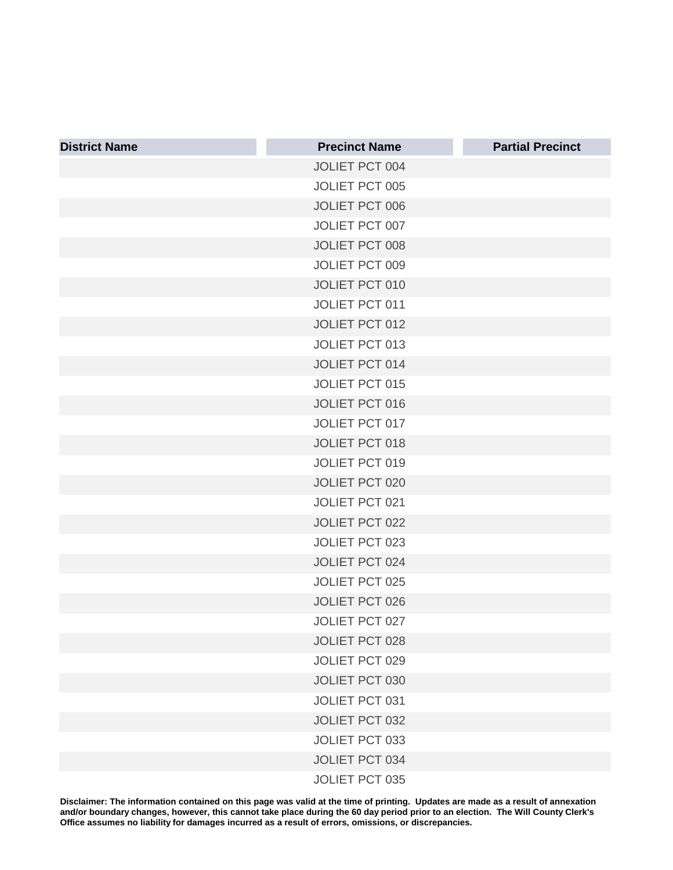| <b>District Name</b> | <b>Precinct Name</b>  | <b>Partial Precinct</b> |
|----------------------|-----------------------|-------------------------|
|                      | JOLIET PCT 004        |                         |
|                      | <b>JOLIET PCT 005</b> |                         |
|                      | <b>JOLIET PCT 006</b> |                         |
|                      | JOLIET PCT 007        |                         |
|                      | <b>JOLIET PCT 008</b> |                         |
|                      | <b>JOLIET PCT 009</b> |                         |
|                      | <b>JOLIET PCT 010</b> |                         |
|                      | JOLIET PCT 011        |                         |
|                      | <b>JOLIET PCT 012</b> |                         |
|                      | <b>JOLIET PCT 013</b> |                         |
|                      | <b>JOLIET PCT 014</b> |                         |
|                      | <b>JOLIET PCT 015</b> |                         |
|                      | <b>JOLIET PCT 016</b> |                         |
|                      | <b>JOLIET PCT 017</b> |                         |
|                      | <b>JOLIET PCT 018</b> |                         |
|                      | <b>JOLIET PCT 019</b> |                         |
|                      | <b>JOLIET PCT 020</b> |                         |
|                      | JOLIET PCT 021        |                         |
|                      | JOLIET PCT 022        |                         |
|                      | JOLIET PCT 023        |                         |
|                      | JOLIET PCT 024        |                         |
|                      | <b>JOLIET PCT 025</b> |                         |
|                      | <b>JOLIET PCT 026</b> |                         |
|                      | JOLIET PCT 027        |                         |
|                      | <b>JOLIET PCT 028</b> |                         |
|                      | JOLIET PCT 029        |                         |
|                      | JOLIET PCT 030        |                         |
|                      | JOLIET PCT 031        |                         |
|                      | JOLIET PCT 032        |                         |
|                      | JOLIET PCT 033        |                         |
|                      | JOLIET PCT 034        |                         |
|                      | JOLIET PCT 035        |                         |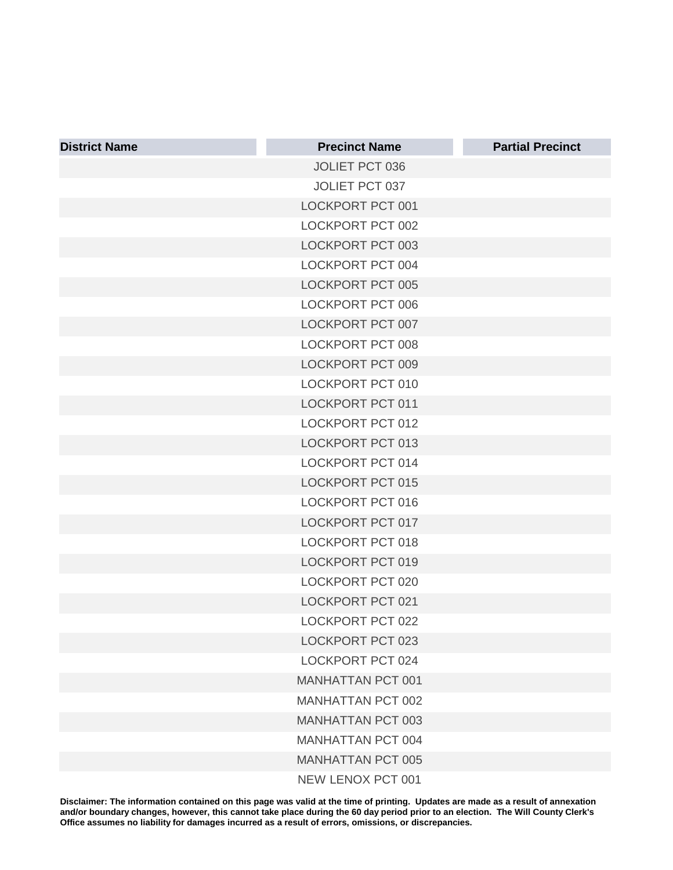| <b>District Name</b> | <b>Precinct Name</b>     | <b>Partial Precinct</b> |
|----------------------|--------------------------|-------------------------|
|                      | <b>JOLIET PCT 036</b>    |                         |
|                      | JOLIET PCT 037           |                         |
|                      | <b>LOCKPORT PCT 001</b>  |                         |
|                      | LOCKPORT PCT 002         |                         |
|                      | LOCKPORT PCT 003         |                         |
|                      | LOCKPORT PCT 004         |                         |
|                      | LOCKPORT PCT 005         |                         |
|                      | <b>LOCKPORT PCT 006</b>  |                         |
|                      | LOCKPORT PCT 007         |                         |
|                      | <b>LOCKPORT PCT 008</b>  |                         |
|                      | LOCKPORT PCT 009         |                         |
|                      | <b>LOCKPORT PCT 010</b>  |                         |
|                      | <b>LOCKPORT PCT 011</b>  |                         |
|                      | <b>LOCKPORT PCT 012</b>  |                         |
|                      | LOCKPORT PCT 013         |                         |
|                      | LOCKPORT PCT 014         |                         |
|                      | <b>LOCKPORT PCT 015</b>  |                         |
|                      | <b>LOCKPORT PCT 016</b>  |                         |
|                      | LOCKPORT PCT 017         |                         |
|                      | <b>LOCKPORT PCT 018</b>  |                         |
|                      | <b>LOCKPORT PCT 019</b>  |                         |
|                      | LOCKPORT PCT 020         |                         |
|                      | <b>LOCKPORT PCT 021</b>  |                         |
|                      | <b>LOCKPORT PCT 022</b>  |                         |
|                      | LOCKPORT PCT 023         |                         |
|                      | LOCKPORT PCT 024         |                         |
|                      | <b>MANHATTAN PCT 001</b> |                         |
|                      | <b>MANHATTAN PCT 002</b> |                         |
|                      | <b>MANHATTAN PCT 003</b> |                         |
|                      | MANHATTAN PCT 004        |                         |
|                      | <b>MANHATTAN PCT 005</b> |                         |
|                      | NEW LENOX PCT 001        |                         |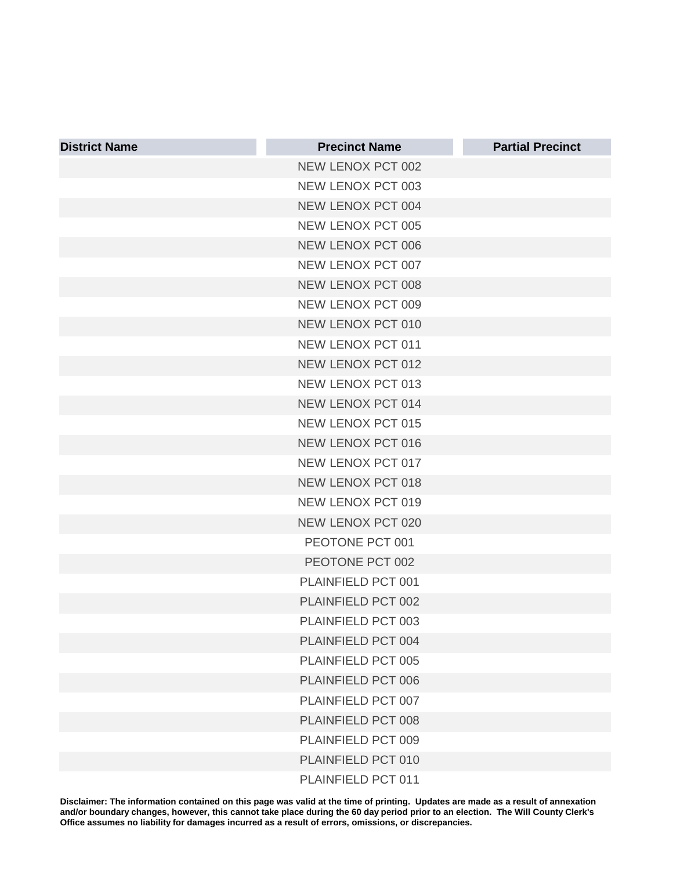| <b>District Name</b> | <b>Precinct Name</b>     | <b>Partial Precinct</b> |
|----------------------|--------------------------|-------------------------|
|                      | NEW LENOX PCT 002        |                         |
|                      | NEW LENOX PCT 003        |                         |
|                      | NEW LENOX PCT 004        |                         |
|                      | NEW LENOX PCT 005        |                         |
|                      | NEW LENOX PCT 006        |                         |
|                      | NEW LENOX PCT 007        |                         |
|                      | NEW LENOX PCT 008        |                         |
|                      | NEW LENOX PCT 009        |                         |
|                      | NEW LENOX PCT 010        |                         |
|                      | NEW LENOX PCT 011        |                         |
|                      | <b>NEW LENOX PCT 012</b> |                         |
|                      | NEW LENOX PCT 013        |                         |
|                      | <b>NEW LENOX PCT 014</b> |                         |
|                      | <b>NEW LENOX PCT 015</b> |                         |
|                      | <b>NEW LENOX PCT 016</b> |                         |
|                      | NEW LENOX PCT 017        |                         |
|                      | <b>NEW LENOX PCT 018</b> |                         |
|                      | NEW LENOX PCT 019        |                         |
|                      | <b>NEW LENOX PCT 020</b> |                         |
|                      | PEOTONE PCT 001          |                         |
|                      | PEOTONE PCT 002          |                         |
|                      | PLAINFIELD PCT 001       |                         |
|                      | PLAINFIELD PCT 002       |                         |
|                      | PLAINFIELD PCT 003       |                         |
|                      | PLAINFIELD PCT 004       |                         |
|                      | PLAINFIELD PCT 005       |                         |
|                      | PLAINFIELD PCT 006       |                         |
|                      | PLAINFIELD PCT 007       |                         |
|                      | PLAINFIELD PCT 008       |                         |
|                      | PLAINFIELD PCT 009       |                         |
|                      | PLAINFIELD PCT 010       |                         |
|                      | PLAINFIELD PCT 011       |                         |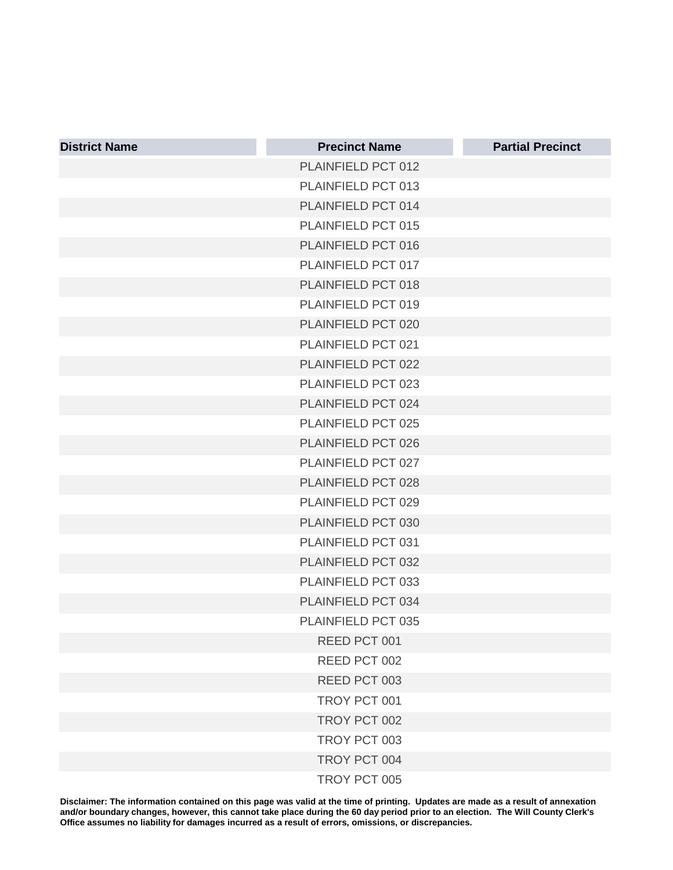| <b>District Name</b> | <b>Precinct Name</b> | <b>Partial Precinct</b> |
|----------------------|----------------------|-------------------------|
|                      | PLAINFIELD PCT 012   |                         |
|                      | PLAINFIELD PCT 013   |                         |
|                      | PLAINFIELD PCT 014   |                         |
|                      | PLAINFIELD PCT 015   |                         |
|                      | PLAINFIELD PCT 016   |                         |
|                      | PLAINFIELD PCT 017   |                         |
|                      | PLAINFIELD PCT 018   |                         |
|                      | PLAINFIELD PCT 019   |                         |
|                      | PLAINFIELD PCT 020   |                         |
|                      | PLAINFIELD PCT 021   |                         |
|                      | PLAINFIELD PCT 022   |                         |
|                      | PLAINFIELD PCT 023   |                         |
|                      | PLAINFIELD PCT 024   |                         |
|                      | PLAINFIELD PCT 025   |                         |
|                      | PLAINFIELD PCT 026   |                         |
|                      | PLAINFIELD PCT 027   |                         |
|                      | PLAINFIELD PCT 028   |                         |
|                      | PLAINFIELD PCT 029   |                         |
|                      | PLAINFIELD PCT 030   |                         |
|                      | PLAINFIELD PCT 031   |                         |
|                      | PLAINFIELD PCT 032   |                         |
|                      | PLAINFIELD PCT 033   |                         |
|                      | PLAINFIELD PCT 034   |                         |
|                      | PLAINFIELD PCT 035   |                         |
|                      | REED PCT 001         |                         |
|                      | REED PCT 002         |                         |
|                      | REED PCT 003         |                         |
|                      | TROY PCT 001         |                         |
|                      | TROY PCT 002         |                         |
|                      | TROY PCT 003         |                         |
|                      | TROY PCT 004         |                         |
|                      | TROY PCT 005         |                         |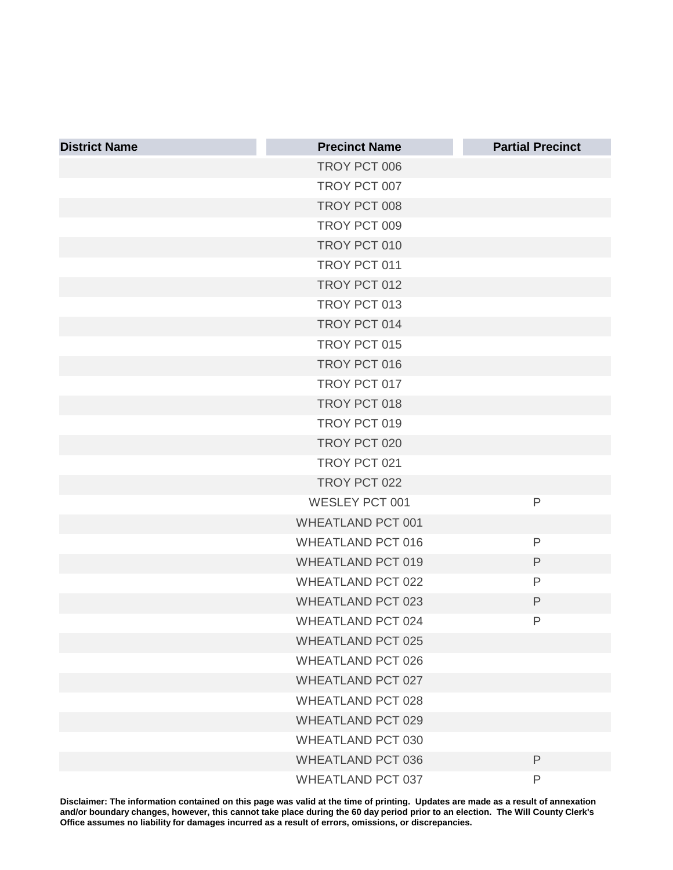| <b>District Name</b> | <b>Precinct Name</b>     | <b>Partial Precinct</b> |
|----------------------|--------------------------|-------------------------|
|                      | TROY PCT 006             |                         |
|                      | TROY PCT 007             |                         |
|                      | TROY PCT 008             |                         |
|                      | TROY PCT 009             |                         |
|                      | TROY PCT 010             |                         |
|                      | TROY PCT 011             |                         |
|                      | TROY PCT 012             |                         |
|                      | TROY PCT 013             |                         |
|                      | TROY PCT 014             |                         |
|                      | TROY PCT 015             |                         |
|                      | TROY PCT 016             |                         |
|                      | TROY PCT 017             |                         |
|                      | TROY PCT 018             |                         |
|                      | TROY PCT 019             |                         |
|                      | TROY PCT 020             |                         |
|                      | TROY PCT 021             |                         |
|                      | TROY PCT 022             |                         |
|                      | <b>WESLEY PCT 001</b>    | P                       |
|                      | <b>WHEATLAND PCT 001</b> |                         |
|                      | <b>WHEATLAND PCT 016</b> | P                       |
|                      | <b>WHEATLAND PCT 019</b> | $\mathsf P$             |
|                      | <b>WHEATLAND PCT 022</b> | P                       |
|                      | <b>WHEATLAND PCT 023</b> | $\mathsf{P}$            |
|                      | <b>WHEATLAND PCT 024</b> | P                       |
|                      | <b>WHEATLAND PCT 025</b> |                         |
|                      | <b>WHEATLAND PCT 026</b> |                         |
|                      | <b>WHEATLAND PCT 027</b> |                         |
|                      | <b>WHEATLAND PCT 028</b> |                         |
|                      | <b>WHEATLAND PCT 029</b> |                         |
|                      | <b>WHEATLAND PCT 030</b> |                         |
|                      | <b>WHEATLAND PCT 036</b> | $\mathsf{P}$            |
|                      | WHEATLAND PCT 037        | P                       |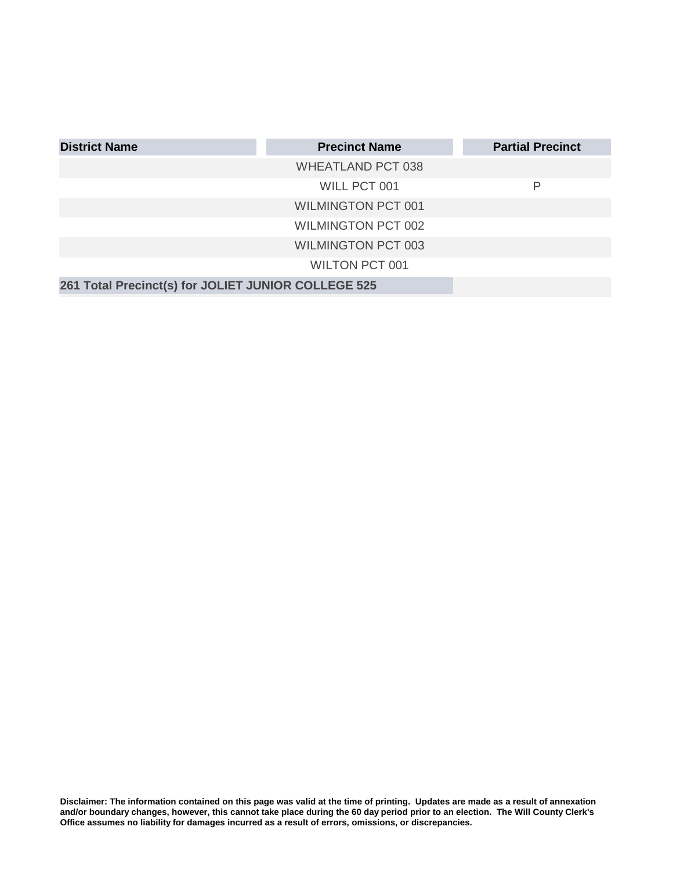| <b>District Name</b>                                | <b>Precinct Name</b>      | <b>Partial Precinct</b> |
|-----------------------------------------------------|---------------------------|-------------------------|
|                                                     | <b>WHEATLAND PCT 038</b>  |                         |
|                                                     | WILL PCT 001              | Р                       |
|                                                     | <b>WILMINGTON PCT 001</b> |                         |
|                                                     | <b>WILMINGTON PCT 002</b> |                         |
|                                                     | <b>WILMINGTON PCT 003</b> |                         |
|                                                     | <b>WILTON PCT 001</b>     |                         |
| 261 Total Precinct(s) for JOLIET JUNIOR COLLEGE 525 |                           |                         |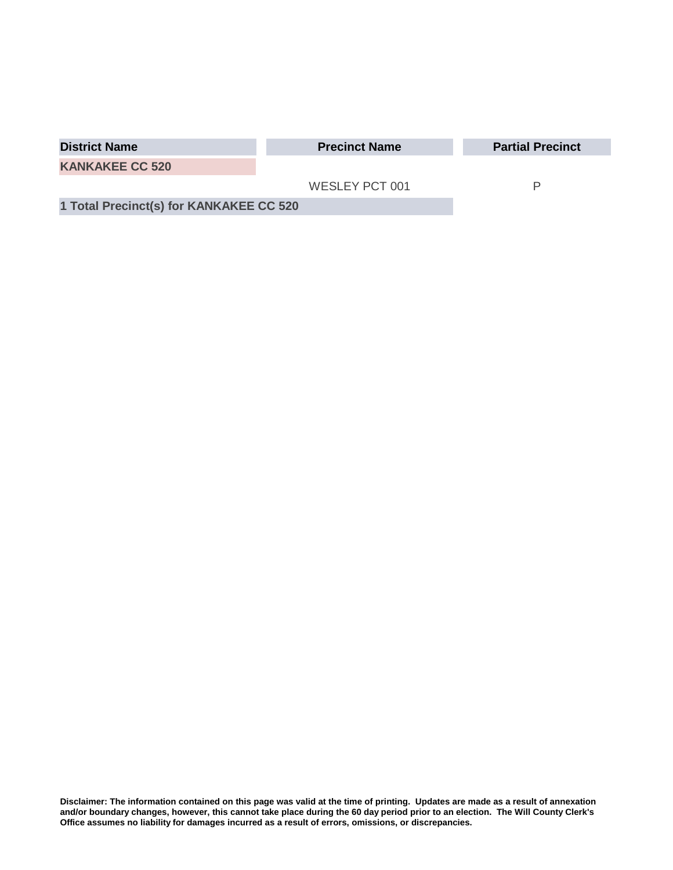| <b>District Name</b>                    | <b>Precinct Name</b> | <b>Partial Precinct</b> |
|-----------------------------------------|----------------------|-------------------------|
| <b>KANKAKEE CC 520</b>                  |                      |                         |
|                                         | WESLEY PCT 001       |                         |
| 1 Total Precinct(s) for KANKAKEE CC 520 |                      |                         |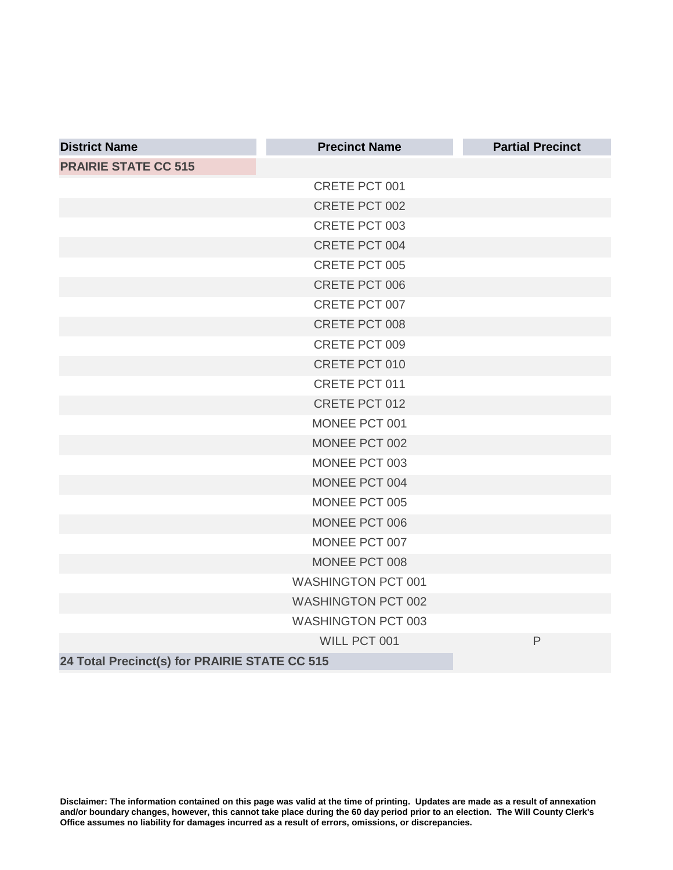| <b>District Name</b>                          | <b>Precinct Name</b>      | <b>Partial Precinct</b> |
|-----------------------------------------------|---------------------------|-------------------------|
| <b>PRAIRIE STATE CC 515</b>                   |                           |                         |
|                                               | CRETE PCT 001             |                         |
|                                               | CRETE PCT 002             |                         |
|                                               | CRETE PCT 003             |                         |
|                                               | CRETE PCT 004             |                         |
|                                               | <b>CRETE PCT 005</b>      |                         |
|                                               | CRETE PCT 006             |                         |
|                                               | CRETE PCT 007             |                         |
|                                               | CRETE PCT 008             |                         |
|                                               | CRETE PCT 009             |                         |
|                                               | CRETE PCT 010             |                         |
|                                               | CRETE PCT 011             |                         |
|                                               | CRETE PCT 012             |                         |
|                                               | MONEE PCT 001             |                         |
|                                               | MONEE PCT 002             |                         |
|                                               | MONEE PCT 003             |                         |
|                                               | MONEE PCT 004             |                         |
|                                               | MONEE PCT 005             |                         |
|                                               | MONEE PCT 006             |                         |
|                                               | MONEE PCT 007             |                         |
|                                               | MONEE PCT 008             |                         |
|                                               | <b>WASHINGTON PCT 001</b> |                         |
|                                               | <b>WASHINGTON PCT 002</b> |                         |
|                                               | <b>WASHINGTON PCT 003</b> |                         |
|                                               | WILL PCT 001              | $\mathsf{P}$            |
| 24 Total Precinct(s) for PRAIRIE STATE CC 515 |                           |                         |